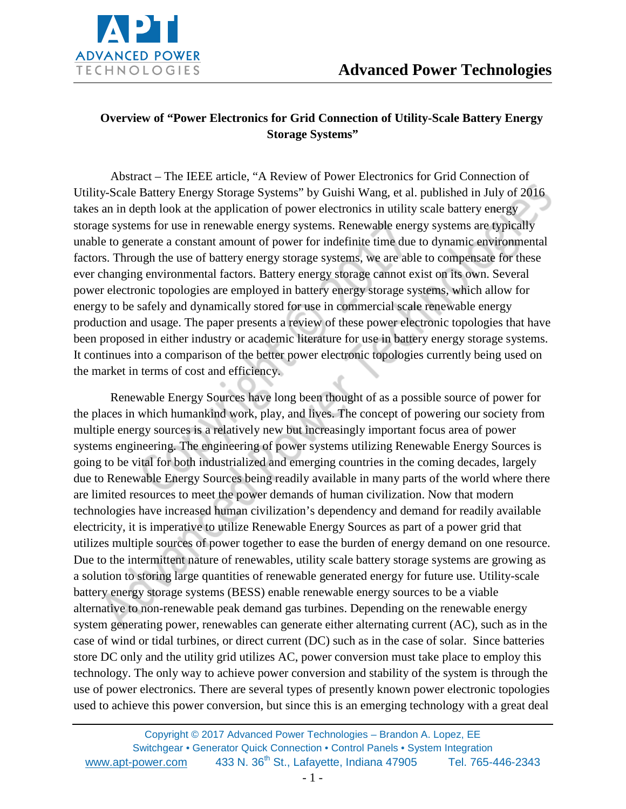

### **Overview of "Power Electronics for Grid Connection of Utility-Scale Battery Energy Storage Systems"**

Abstract – The IEEE article, "A Review of Power Electronics for Grid Connection of Utility-Scale Battery Energy Storage Systems" by Guishi Wang, et al. published in July of 2016 takes an in depth look at the application of power electronics in utility scale battery energy storage systems for use in renewable energy systems. Renewable energy systems are typically unable to generate a constant amount of power for indefinite time due to dynamic environmental factors. Through the use of battery energy storage systems, we are able to compensate for these ever changing environmental factors. Battery energy storage cannot exist on its own. Several power electronic topologies are employed in battery energy storage systems, which allow for energy to be safely and dynamically stored for use in commercial scale renewable energy production and usage. The paper presents a review of these power electronic topologies that have been proposed in either industry or academic literature for use in battery energy storage systems. It continues into a comparison of the better power electronic topologies currently being used on the market in terms of cost and efficiency.

Renewable Energy Sources have long been thought of as a possible source of power for the places in which humankind work, play, and lives. The concept of powering our society from multiple energy sources is a relatively new but increasingly important focus area of power systems engineering. The engineering of power systems utilizing Renewable Energy Sources is going to be vital for both industrialized and emerging countries in the coming decades, largely due to Renewable Energy Sources being readily available in many parts of the world where there are limited resources to meet the power demands of human civilization. Now that modern technologies have increased human civilization's dependency and demand for readily available electricity, it is imperative to utilize Renewable Energy Sources as part of a power grid that utilizes multiple sources of power together to ease the burden of energy demand on one resource. Due to the intermittent nature of renewables, utility scale battery storage systems are growing as a solution to storing large quantities of renewable generated energy for future use. Utility-scale battery energy storage systems (BESS) enable renewable energy sources to be a viable alternative to non-renewable peak demand gas turbines. Depending on the renewable energy system generating power, renewables can generate either alternating current (AC), such as in the case of wind or tidal turbines, or direct current (DC) such as in the case of solar. Since batteries store DC only and the utility grid utilizes AC, power conversion must take place to employ this technology. The only way to achieve power conversion and stability of the system is through the use of power electronics. There are several types of presently known power electronic topologies used to achieve this power conversion, but since this is an emerging technology with a great deal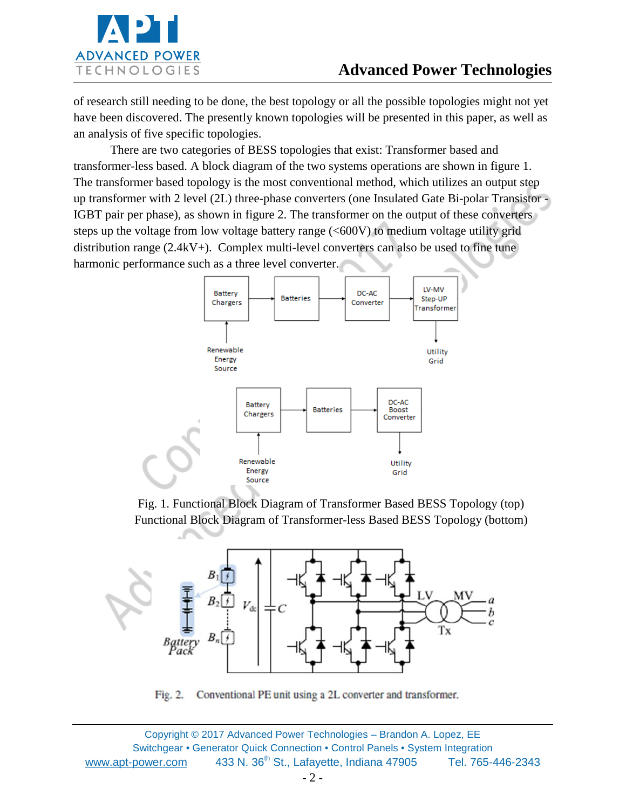

of research still needing to be done, the best topology or all the possible topologies might not yet have been discovered. The presently known topologies will be presented in this paper, as well as an analysis of five specific topologies.

There are two categories of BESS topologies that exist: Transformer based and transformer-less based. A block diagram of the two systems operations are shown in figure 1. The transformer based topology is the most conventional method, which utilizes an output step up transformer with 2 level (2L) three-phase converters (one Insulated Gate Bi-polar Transistor - IGBT pair per phase), as shown in figure 2. The transformer on the output of these converters steps up the voltage from low voltage battery range (<600V) to medium voltage utility grid distribution range (2.4kV+). Complex multi-level converters can also be used to fine tune harmonic performance such as a three level converter.



Fig. 1. Functional Block Diagram of Transformer Based BESS Topology (top) Functional Block Diagram of Transformer-less Based BESS Topology (bottom)



Fig. 2. Conventional PE unit using a 2L converter and transformer.

Copyright © 2017 Advanced Power Technologies – Brandon A. Lopez, EE Switchgear • Generator Quick Connection • Control Panels • System Integration www.apt-power.com 433 N. 36<sup>th</sup> St., Lafayette, Indiana 47905 Tel. 765-446-2343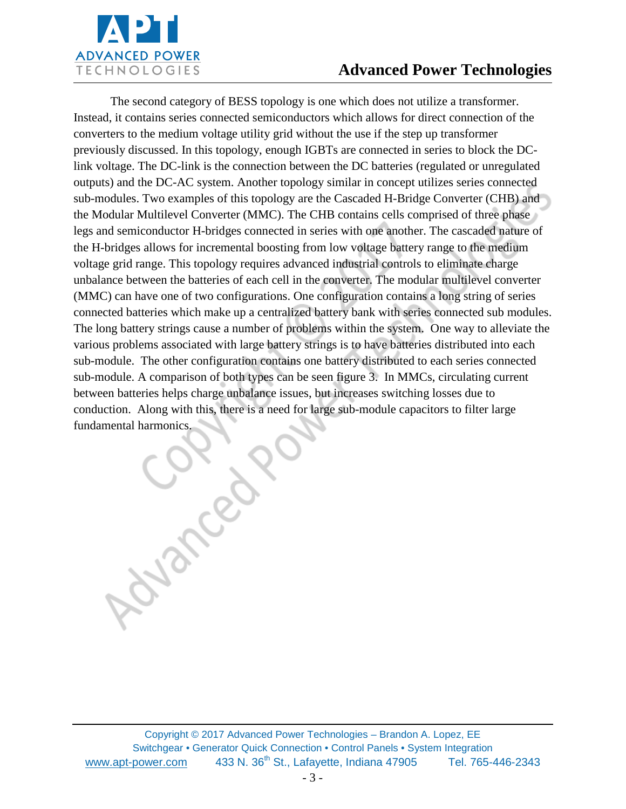

**DRCOX** 

## **Advanced Power Technologies**

The second category of BESS topology is one which does not utilize a transformer. Instead, it contains series connected semiconductors which allows for direct connection of the converters to the medium voltage utility grid without the use if the step up transformer previously discussed. In this topology, enough IGBTs are connected in series to block the DClink voltage. The DC-link is the connection between the DC batteries (regulated or unregulated outputs) and the DC-AC system. Another topology similar in concept utilizes series connected sub-modules. Two examples of this topology are the Cascaded H-Bridge Converter (CHB) and the Modular Multilevel Converter (MMC). The CHB contains cells comprised of three phase legs and semiconductor H-bridges connected in series with one another. The cascaded nature of the H-bridges allows for incremental boosting from low voltage battery range to the medium voltage grid range. This topology requires advanced industrial controls to eliminate charge unbalance between the batteries of each cell in the converter. The modular multilevel converter (MMC) can have one of two configurations. One configuration contains a long string of series connected batteries which make up a centralized battery bank with series connected sub modules. The long battery strings cause a number of problems within the system. One way to alleviate the various problems associated with large battery strings is to have batteries distributed into each sub-module. The other configuration contains one battery distributed to each series connected sub-module. A comparison of both types can be seen figure 3. In MMCs, circulating current between batteries helps charge unbalance issues, but increases switching losses due to conduction. Along with this, there is a need for large sub-module capacitors to filter large fundamental harmonics.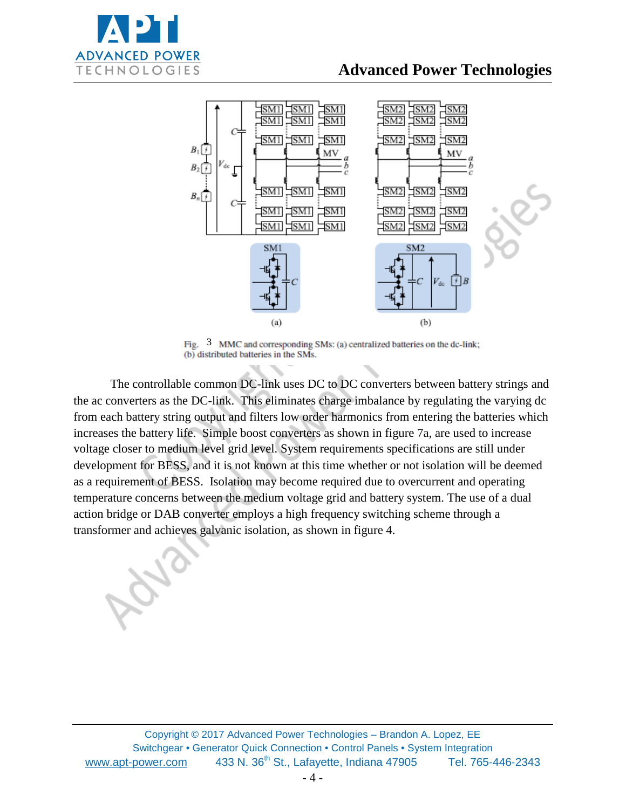

## **Advanced Power Technologies**



Fig.  $3$  MMC and corresponding SMs: (a) centralized batteries on the dc-link; (b) distributed batteries in the SMs.

The controllable common DC-link uses DC to DC converters between battery strings and the ac converters as the DC-link. This eliminates charge imbalance by regulating the varying dc from each battery string output and filters low order harmonics from entering the batteries which increases the battery life. Simple boost converters as shown in figure 7a, are used to increase voltage closer to medium level grid level. System requirements specifications are still under development for BESS, and it is not known at this time whether or not isolation will be deemed as a requirement of BESS. Isolation may become required due to overcurrent and operating temperature concerns between the medium voltage grid and battery system. The use of a dual action bridge or DAB converter employs a high frequency switching scheme through a transformer and achieves galvanic isolation, as shown in figure 4.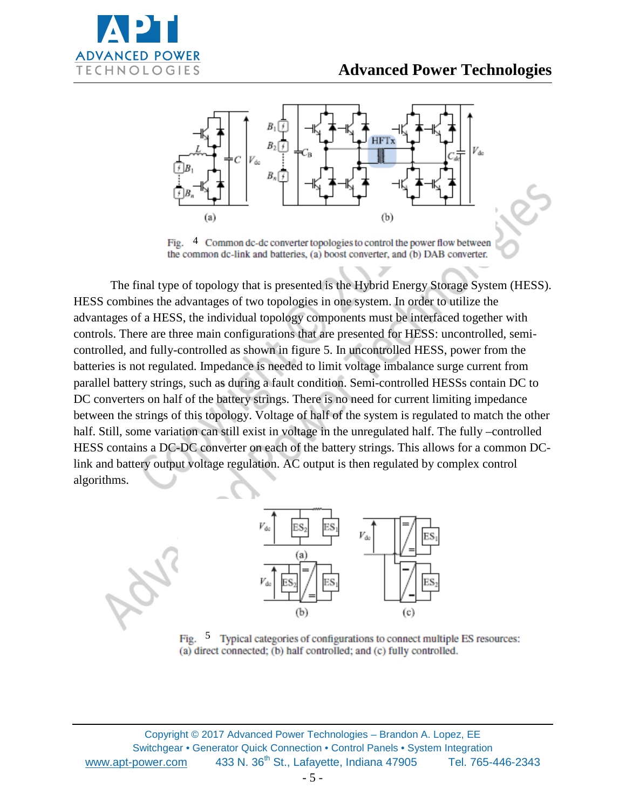

## **Advanced Power Technologies**



Fig. 4 Common dc-dc converter topologies to control the power flow between the common dc-link and batteries, (a) boost converter, and (b) DAB converter.

The final type of topology that is presented is the Hybrid Energy Storage System (HESS). HESS combines the advantages of two topologies in one system. In order to utilize the advantages of a HESS, the individual topology components must be interfaced together with controls. There are three main configurations that are presented for HESS: uncontrolled, semicontrolled, and fully-controlled as shown in figure 5. In uncontrolled HESS, power from the batteries is not regulated. Impedance is needed to limit voltage imbalance surge current from parallel battery strings, such as during a fault condition. Semi-controlled HESSs contain DC to DC converters on half of the battery strings. There is no need for current limiting impedance between the strings of this topology. Voltage of half of the system is regulated to match the other half. Still, some variation can still exist in voltage in the unregulated half. The fully –controlled HESS contains a DC-DC converter on each of the battery strings. This allows for a common DClink and battery output voltage regulation. AC output is then regulated by complex control algorithms.



Fig. 5 Typical categories of configurations to connect multiple ES resources: (a) direct connected; (b) half controlled; and (c) fully controlled.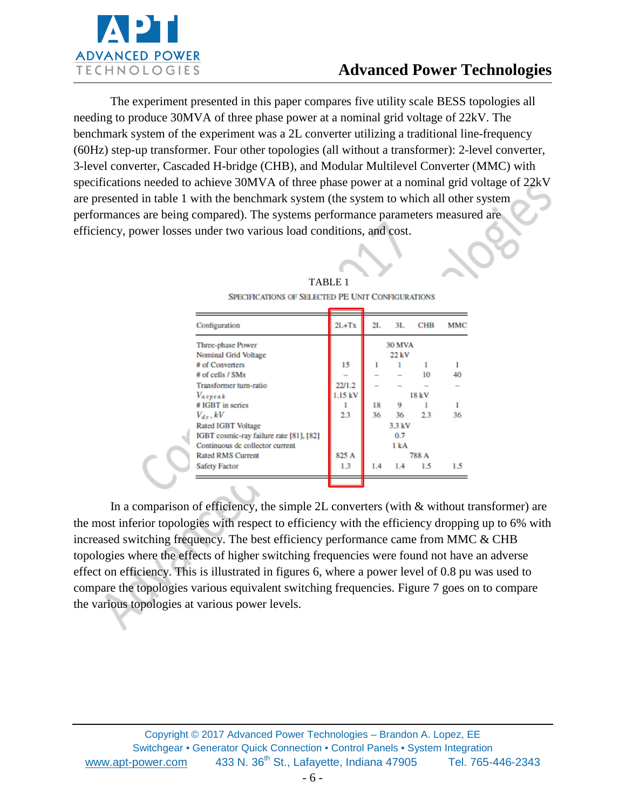

The experiment presented in this paper compares five utility scale BESS topologies all needing to produce 30MVA of three phase power at a nominal grid voltage of 22kV. The benchmark system of the experiment was a 2L converter utilizing a traditional line-frequency (60Hz) step-up transformer. Four other topologies (all without a transformer): 2-level converter, 3-level converter, Cascaded H-bridge (CHB), and Modular Multilevel Converter (MMC) with specifications needed to achieve 30MVA of three phase power at a nominal grid voltage of 22kV are presented in table 1 with the benchmark system (the system to which all other system performances are being compared). The systems performance parameters measured are efficiency, power losses under two various load conditions, and cost.

| Configuration                           | $2L+Tx$ | 2L               | 3L  | <b>CHB</b> | <b>MMC</b> |  |
|-----------------------------------------|---------|------------------|-----|------------|------------|--|
| Three-phase Power                       |         | <b>30 MVA</b>    |     |            |            |  |
| Nominal Grid Voltage                    |         | $22$ kV          |     |            |            |  |
| # of Converters                         | 15      |                  |     |            |            |  |
| # of cells / SMs                        |         |                  |     | 10         | 40         |  |
| Transformer turn-ratio                  | 22/1.2  |                  |     |            |            |  |
| Vaepeak                                 | 1.15kV  | 18kV             |     |            |            |  |
| # IGBT in series                        |         | 18               | 9   |            |            |  |
| $V_{dc}$ , $kV$                         | 2.3     | 36               | 36  | 2.3        | 36         |  |
| <b>Rated IGBT Voltage</b>               |         | $3.3$ kV         |     |            |            |  |
| IGBT cosmic-ray failure rate [81], [82] |         | 0.7              |     |            |            |  |
| Continuous de collector current         |         | 1 <sub>k</sub> A |     |            |            |  |
| <b>Rated RMS Current</b>                | 825 A   | 788 A            |     |            |            |  |
| <b>Safety Factor</b>                    | 1.3     | 1.4              | 1.4 | 1.5        | 1.5        |  |

| TABLE <sub>1</sub>                                       |  |
|----------------------------------------------------------|--|
| <b>SPECIFICATIONS OF SELECTED PE UNIT CONFIGURATIONS</b> |  |

In a comparison of efficiency, the simple 2L converters (with & without transformer) are the most inferior topologies with respect to efficiency with the efficiency dropping up to 6% with increased switching frequency. The best efficiency performance came from MMC & CHB topologies where the effects of higher switching frequencies were found not have an adverse effect on efficiency. This is illustrated in figures 6, where a power level of 0.8 pu was used to compare the topologies various equivalent switching frequencies. Figure 7 goes on to compare the various topologies at various power levels.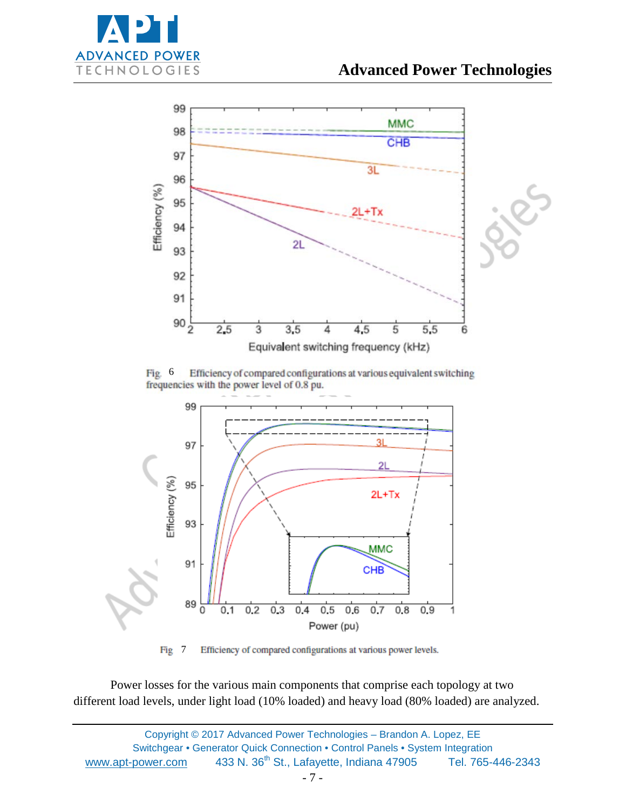



Efficiency of compared configurations at various equivalent switching Fig. 6 frequencies with the power level of 0.8 pu.



Fig 7Efficiency of compared configurations at various power levels.

Power losses for the various main components that comprise each topology at two different load levels, under light load (10% loaded) and heavy load (80% loaded) are analyzed.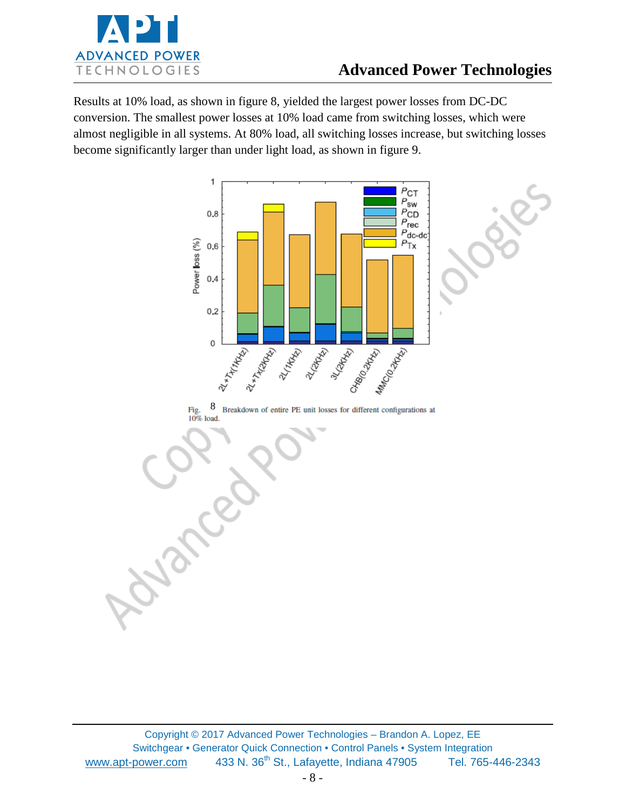

Results at 10% load, as shown in figure 8, yielded the largest power losses from DC-DC conversion. The smallest power losses at 10% load came from switching losses, which were almost negligible in all systems. At 80% load, all switching losses increase, but switching losses become significantly larger than under light load, as shown in figure 9.





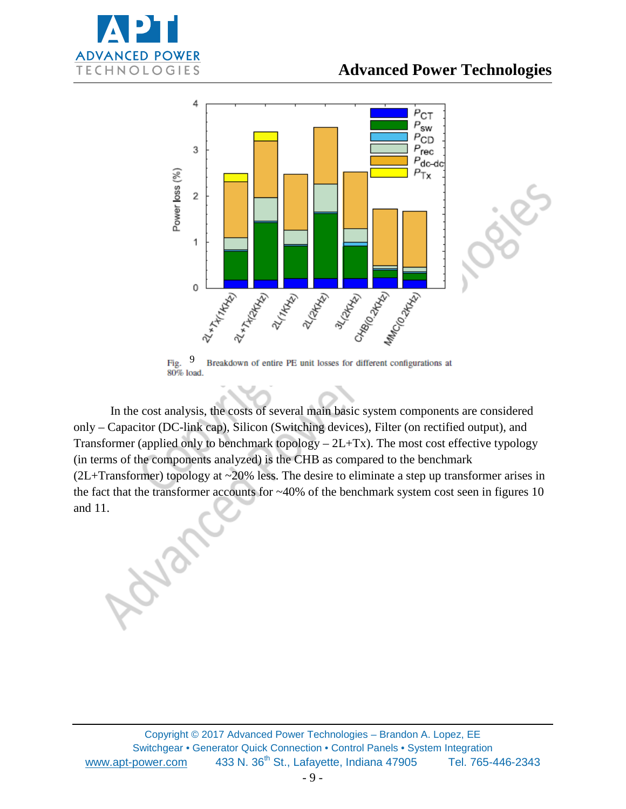

# **Advanced Power Technologies**



9Fig. Breakdown of entire PE unit losses for different configurations at 80% load.

In the cost analysis, the costs of several main basic system components are considered only – Capacitor (DC-link cap), Silicon (Switching devices), Filter (on rectified output), and Transformer (applied only to benchmark topology  $-2L+Tx$ ). The most cost effective typology (in terms of the components analyzed) is the CHB as compared to the benchmark (2L+Transformer) topology at ~20% less. The desire to eliminate a step up transformer arises in the fact that the transformer accounts for  $~40\%$  of the benchmark system cost seen in figures 10 and 11.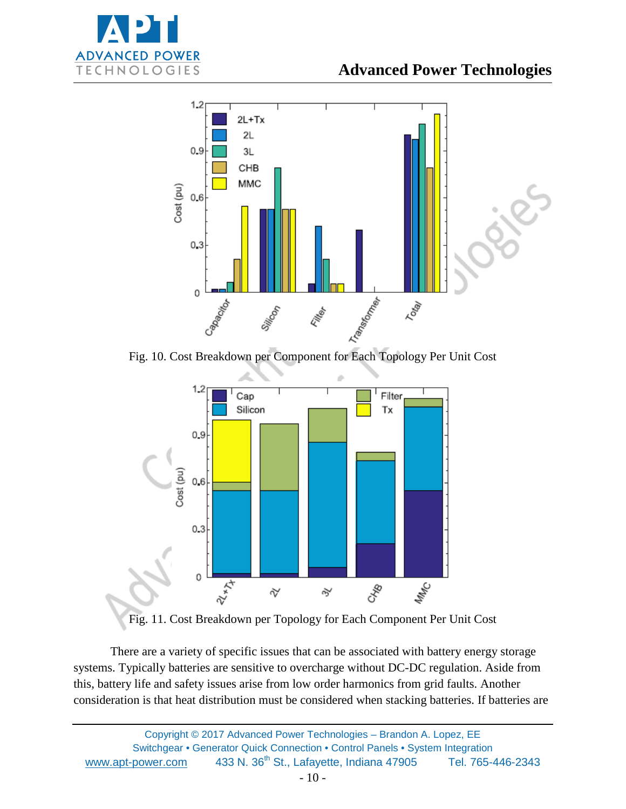





Fig. 11. Cost Breakdown per Topology for Each Component Per Unit Cost

There are a variety of specific issues that can be associated with battery energy storage systems. Typically batteries are sensitive to overcharge without DC-DC regulation. Aside from this, battery life and safety issues arise from low order harmonics from grid faults. Another consideration is that heat distribution must be considered when stacking batteries. If batteries are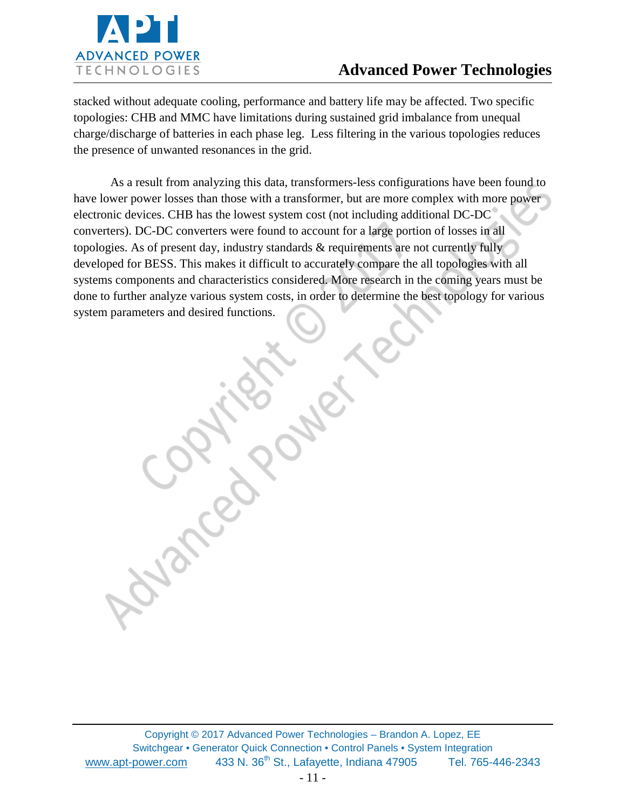

stacked without adequate cooling, performance and battery life may be affected. Two specific topologies: CHB and MMC have limitations during sustained grid imbalance from unequal charge/discharge of batteries in each phase leg. Less filtering in the various topologies reduces the presence of unwanted resonances in the grid.

As a result from analyzing this data, transformers-less configurations have been found to have lower power losses than those with a transformer, but are more complex with more power electronic devices. CHB has the lowest system cost (not including additional DC-DC converters). DC-DC converters were found to account for a large portion of losses in all topologies. As of present day, industry standards & requirements are not currently fully developed for BESS. This makes it difficult to accurately compare the all topologies with all systems components and characteristics considered. More research in the coming years must be done to further analyze various system costs, in order to determine the best topology for various system parameters and desired functions.